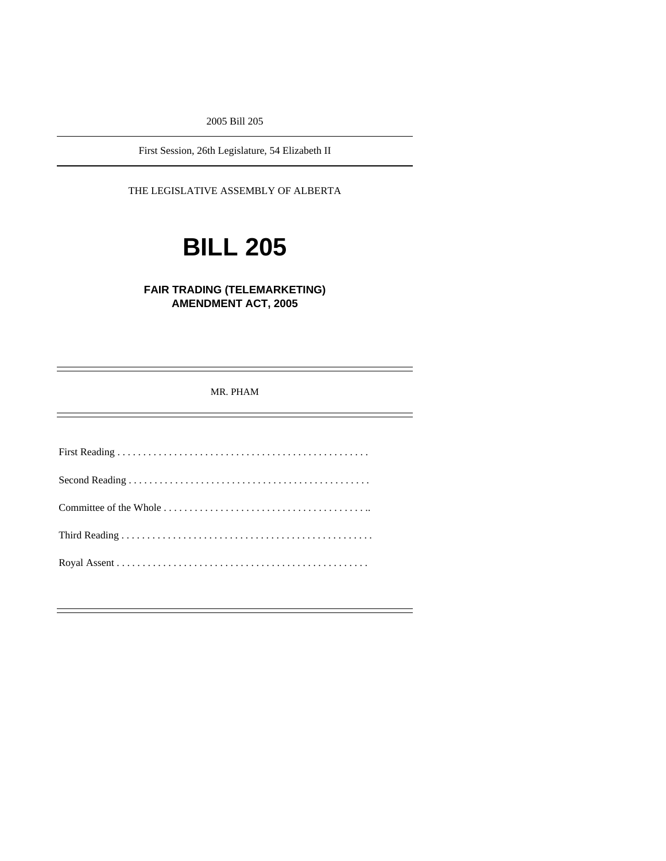2005 Bill 205

First Session, 26th Legislature, 54 Elizabeth II

THE LEGISLATIVE ASSEMBLY OF ALBERTA

# **BILL 205**

**FAIR TRADING (TELEMARKETING) AMENDMENT ACT, 2005** 

MR. PHAM

First Reading . . . . . . . . . . . . . . . . . . . . . . . . . . . . . . . . . . . . . . . . . . . . . . . . . Second Reading . . . . . . . . . . . . . . . . . . . . . . . . . . . . . . . . . . . . . . . . . . . . . . . Committee of the Whole . . . . . . . . . . . . . . . . . . . . . . . . . . . . . . . . . . . . . . . .. Third Reading . . . . . . . . . . . . . . . . . . . . . . . . . . . . . . . . . . . . . . . . . . . . . . . . . Royal Assent . . . . . . . . . . . . . . . . . . . . . . . . . . . . . . . . . . . . . . . . . . . . . . . . .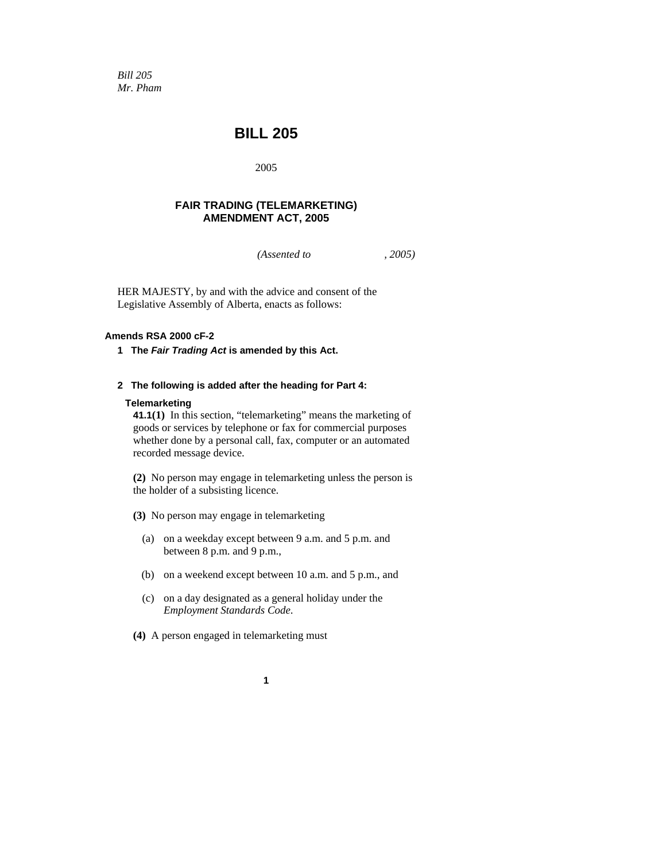*Bill 205 Mr. Pham* 

# **BILL 205**

2005

## **FAIR TRADING (TELEMARKETING) AMENDMENT ACT, 2005**

*(Assented to , 2005)* 

HER MAJESTY, by and with the advice and consent of the Legislative Assembly of Alberta, enacts as follows:

## **Amends RSA 2000 cF-2**

**1 The** *Fair Trading Act* **is amended by this Act.** 

## **2 The following is added after the heading for Part 4:**

#### **Telemarketing**

**41.1(1)** In this section, "telemarketing" means the marketing of goods or services by telephone or fax for commercial purposes whether done by a personal call, fax, computer or an automated recorded message device.

**(2)** No person may engage in telemarketing unless the person is the holder of a subsisting licence.

- **(3)** No person may engage in telemarketing
	- (a) on a weekday except between 9 a.m. and 5 p.m. and between 8 p.m. and 9 p.m.,
	- (b) on a weekend except between 10 a.m. and 5 p.m., and
	- (c) on a day designated as a general holiday under the *Employment Standards Code*.
- **(4)** A person engaged in telemarketing must
	- **1**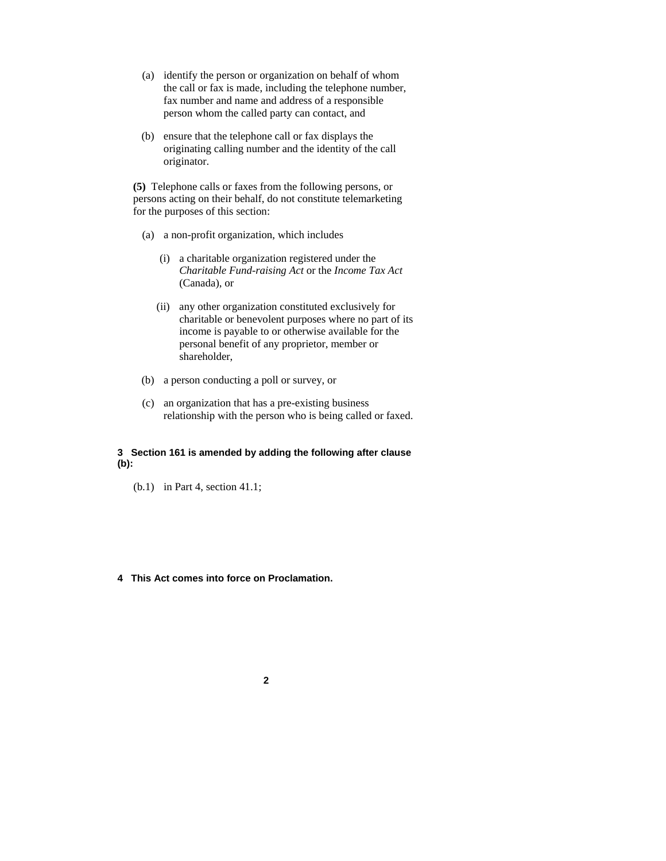- (a) identify the person or organization on behalf of whom the call or fax is made, including the telephone number, fax number and name and address of a responsible person whom the called party can contact, and
- (b) ensure that the telephone call or fax displays the originating calling number and the identity of the call originator.

**(5)** Telephone calls or faxes from the following persons, or persons acting on their behalf, do not constitute telemarketing for the purposes of this section:

- (a) a non-profit organization, which includes
	- (i) a charitable organization registered under the *Charitable Fund-raising Act* or the *Income Tax Act* (Canada), or
	- (ii) any other organization constituted exclusively for charitable or benevolent purposes where no part of its income is payable to or otherwise available for the personal benefit of any proprietor, member or shareholder,
- (b) a person conducting a poll or survey, or
- (c) an organization that has a pre-existing business relationship with the person who is being called or faxed.

#### **3 Section 161 is amended by adding the following after clause (b):**

(b.1) in Part 4, section 41.1;

#### **4 This Act comes into force on Proclamation.**

**2**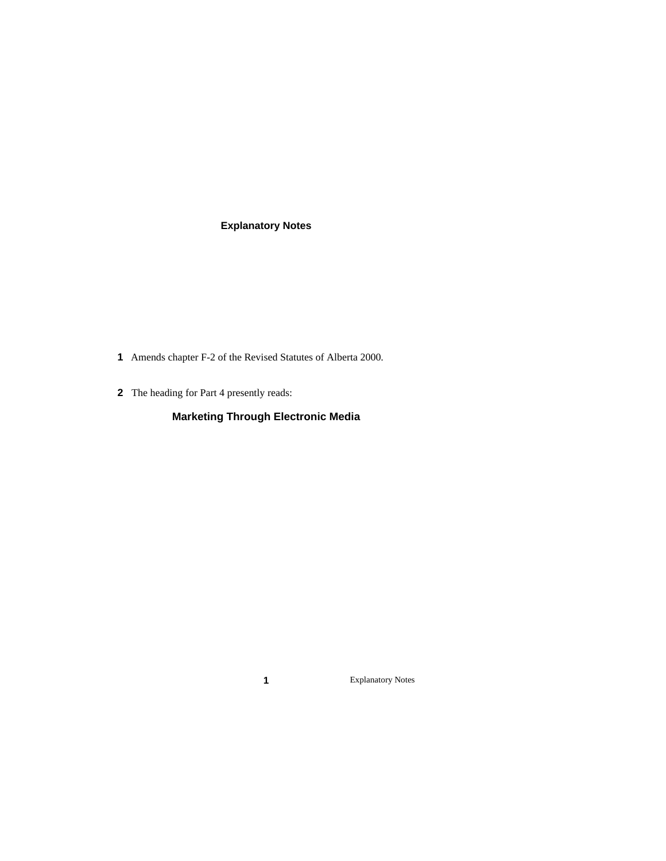# **Explanatory Notes**

- **1** Amends chapter F-2 of the Revised Statutes of Alberta 2000.
- **2** The heading for Part 4 presently reads:

# **Marketing Through Electronic Media**

**1** Explanatory Notes